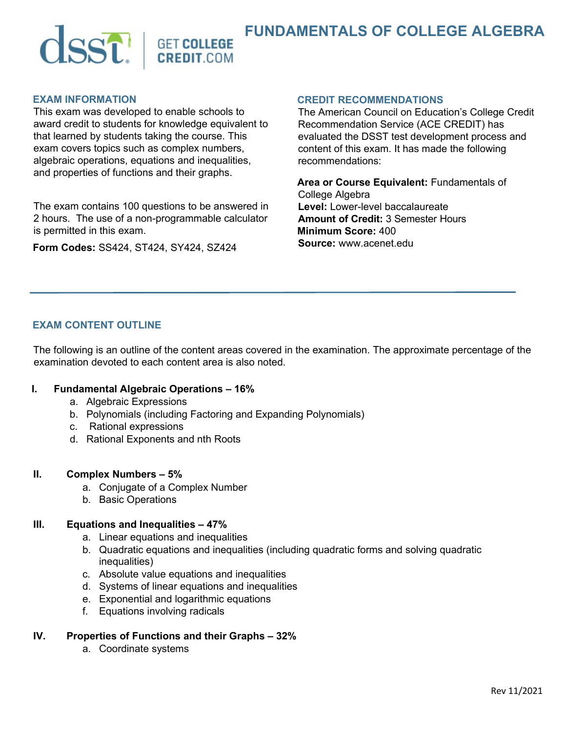

## **EXAM INFORMATION**

This exam was developed to enable schools to award credit to students for knowledge equivalent to that learned by students taking the course. This exam covers topics such as complex numbers, algebraic operations, equations and inequalities, and properties of functions and their graphs.

The exam contains 100 questions to be answered in 2 hours. The use of a non-programmable calculator is permitted in this exam.

**Form Codes:** SS424, ST424, SY424, SZ424

#### **CREDIT RECOMMENDATIONS**

The American Council on Education's College Credit Recommendation Service (ACE CREDIT) has evaluated the DSST test development process and content of this exam. It has made the following recommendations:

**Area or Course Equivalent:** Fundamentals of College Algebra **Level:** Lower-level baccalaureate **Amount of Credit:** 3 Semester Hours **Minimum Score:** 400 **Source:** www.acenet.edu

# **EXAM CONTENT OUTLINE**

The following is an outline of the content areas covered in the examination. The approximate percentage of the examination devoted to each content area is also noted.

## **I. Fundamental Algebraic Operations – 16%**

- a. Algebraic Expressions
- b. Polynomials (including Factoring and Expanding Polynomials)
- c. Rational expressions
- d. Rational Exponents and nth Roots

#### **II. Complex Numbers – 5%**

- a. Conjugate of a Complex Number
- b. Basic Operations

## **III. Equations and Inequalities – 47%**

- a. Linear equations and inequalities
- b. Quadratic equations and inequalities (including quadratic forms and solving quadratic inequalities)
- c. Absolute value equations and inequalities
- d. Systems of linear equations and inequalities
- e. Exponential and logarithmic equations
- f. Equations involving radicals
- **IV. Properties of Functions and their Graphs 32%**
	- a. Coordinate systems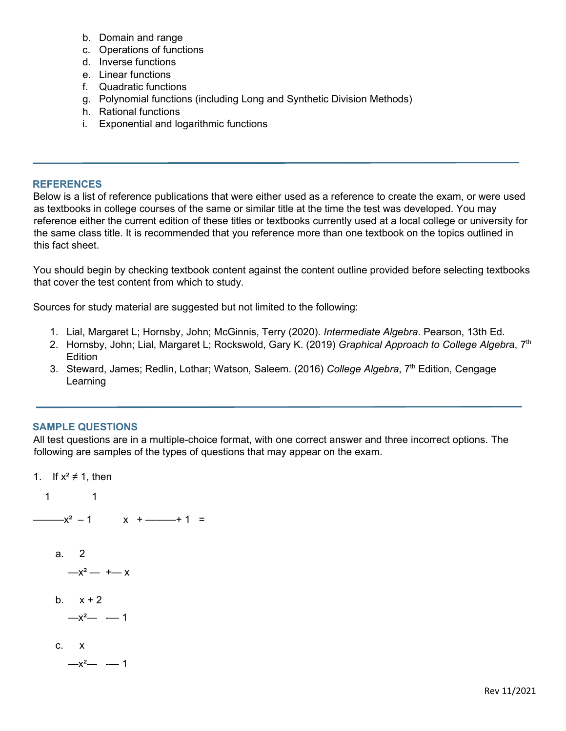- b. Domain and range
- c. Operations of functions
- d. Inverse functions
- e. Linear functions
- f. Quadratic functions
- g. Polynomial functions (including Long and Synthetic Division Methods)
- h. Rational functions
- i. Exponential and logarithmic functions

## **REFERENCES**

Below is a list of reference publications that were either used as a reference to create the exam, or were used as textbooks in college courses of the same or similar title at the time the test was developed. You may reference either the current edition of these titles or textbooks currently used at a local college or university for the same class title. It is recommended that you reference more than one textbook on the topics outlined in this fact sheet.

You should begin by checking textbook content against the content outline provided before selecting textbooks that cover the test content from which to study.

Sources for study material are suggested but not limited to the following:

- 1. Lial, Margaret L; Hornsby, John; McGinnis, Terry (2020). *Intermediate Algebra*. Pearson, 13th Ed.
- 2. Hornsby, John; Lial, Margaret L; Rockswold, Gary K. (2019) *Graphical Approach to College Algebra*, 7th **Edition**
- 3. Steward, James; Redlin, Lothar; Watson, Saleem. (2016) *College Algebra*, 7<sup>th</sup> Edition, Cengage Learning

# **SAMPLE QUESTIONS**

All test questions are in a multiple-choice format, with one correct answer and three incorrect options. The following are samples of the types of questions that may appear on the exam.

1. If  $x^2 \neq 1$ , then 1 1  $-x^2 - 1$  x + — + 1 = a. 2  $-x^2 - + -x$ b.  $x + 2$  $-x^2$  - 1 c. x  $-x^2$  - 1